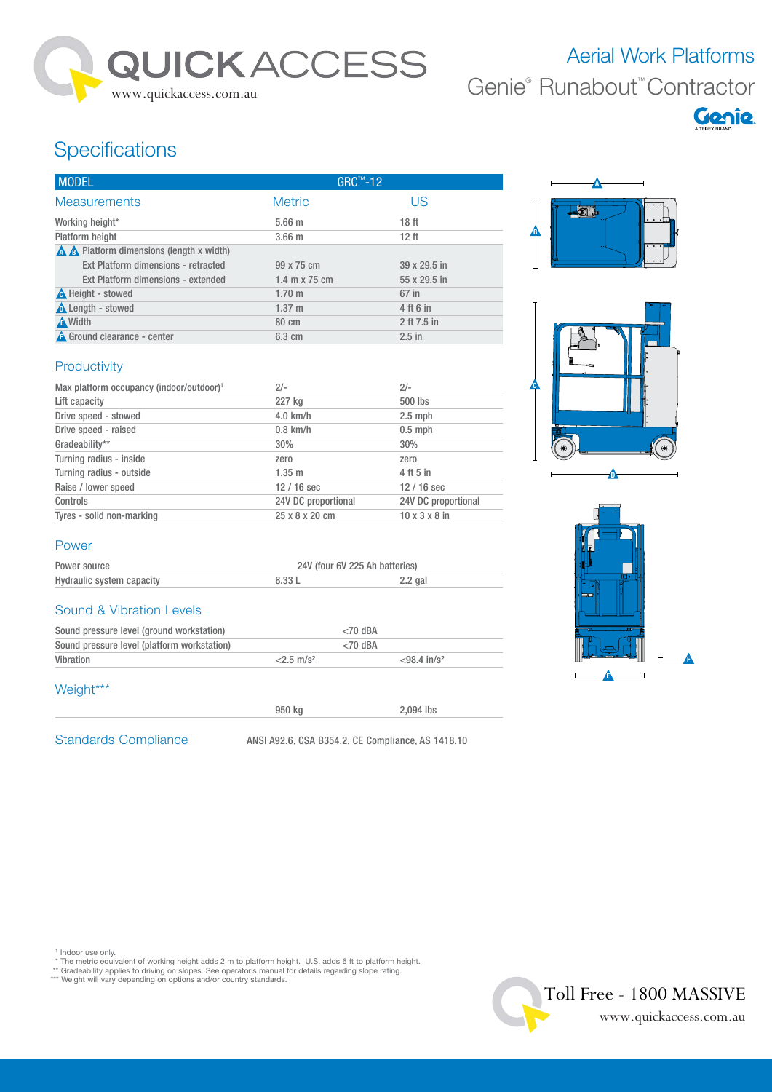

# Aerial Work Platforms Genie® Runabout™ Contractor



## **Specifications**

| <b>MODEL</b>                                                 | $GRC^{\pi}$ -12  |                  |
|--------------------------------------------------------------|------------------|------------------|
| <b>Measurements</b>                                          | <b>Metric</b>    | US               |
| Working height*                                              | $5.66$ m         | 18 <sub>ft</sub> |
| Platform height                                              | $3.66$ m         | 12 <sub>ft</sub> |
| $\triangle$ $\triangle$ Platform dimensions (length x width) |                  |                  |
| Ext Platform dimensions - retracted                          | 99 x 75 cm       | 39 x 29.5 in     |
| Ext Platform dimensions - extended                           | 1.4 m x 75 cm    | 55 x 29.5 in     |
| <b>A</b> Height - stowed                                     | $1.70 \;{\rm m}$ | 67 in            |
| <b>A</b> Length - stowed                                     | $1.37 \; m$      | 4 ft 6 in        |
| <b>A</b> Width                                               | 80 cm            | 2 ft 7.5 in      |
| <b>A</b> Ground clearance - center                           | $6.3 \text{ cm}$ | $2.5$ in         |

#### Productivity

| Max platform occupancy (indoor/outdoor) <sup>1</sup> | $2/-$               | $2/-$                     |
|------------------------------------------------------|---------------------|---------------------------|
| Lift capacity                                        | 227 kg              | 500 lbs                   |
| Drive speed - stowed                                 | $4.0$ km/h          | $2.5$ mph                 |
| Drive speed - raised                                 | $0.8$ km/h          | $0.5$ mph                 |
| Gradeability**                                       | 30%                 | 30%                       |
| Turning radius - inside                              | zero                | zero                      |
| Turning radius - outside                             | $1.35 \; \text{m}$  | 4 ft 5 in                 |
| Raise / lower speed                                  | $12/16$ sec         | $12/16$ sec               |
| Controls                                             | 24V DC proportional | 24V DC proportional       |
| Tyres - solid non-marking                            | 25 x 8 x 20 cm      | $10 \times 3 \times 8$ in |







## Power

| Power source              | 24V (four 6V 225 Ah batteries) |           |  |
|---------------------------|--------------------------------|-----------|--|
| Hydraulic system capacity | 8.33 L                         | $2.2$ gal |  |

#### Sound & Vibration Levels

| Sound pressure level (ground workstation)   | $<$ 70 dBA               |                            |
|---------------------------------------------|--------------------------|----------------------------|
| Sound pressure level (platform workstation) | $<$ 70 dBA               |                            |
| Vibration                                   | $<$ 2.5 m/s <sup>2</sup> | $< 98.4$ in/s <sup>2</sup> |

#### Weight\*\*\*

Standards Compliance ANSI A92.6, CSA B354.2, CE Compliance, AS 1418.10

950 kg 2,094 lbs

' Indoor use only.<br>\* The metric equivalent of working height adds 2 m to platform height. U.S. adds 6 ft to platform height.<br>\*\* Gradeability applies to driving on slopes. See operator's manual for details regarding slope r